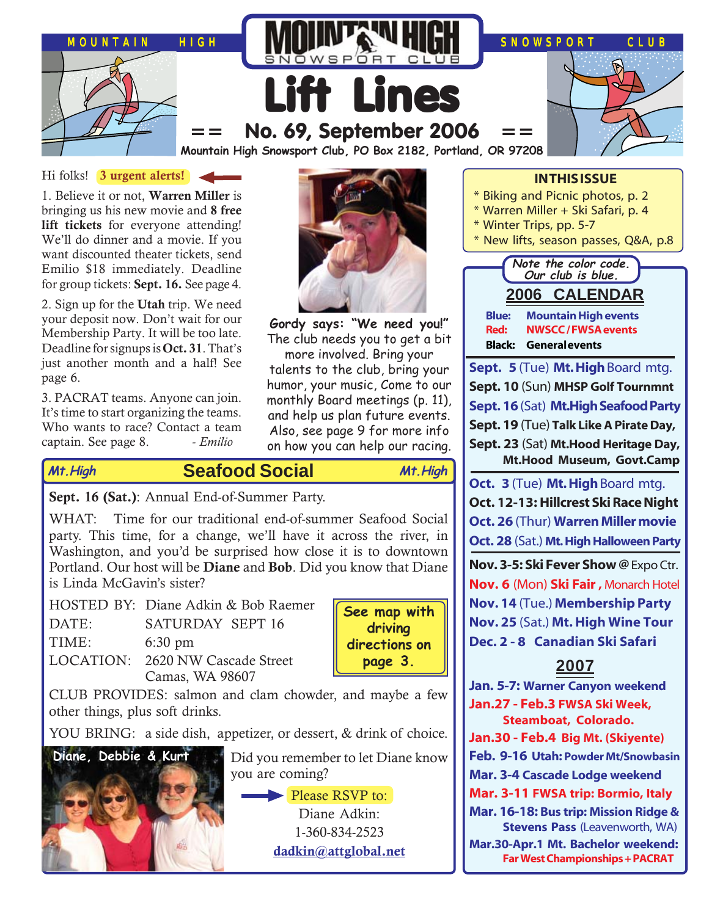

### Hi folks! **3 urgent alerts!**

1. Believe it or not, **Warren Miller** is bringing us his new movie and **8 free lift tickets** for everyone attending! We'll do dinner and a movie. If you want discounted theater tickets, send Emilio \$18 immediately. Deadline for group tickets: **Sept. 16.** See page 4.

2. Sign up for the **Utah** trip. We need your deposit now. Don't wait for our Membership Party. It will be too late. Deadline for signups is **Oct. 31**. That's just another month and a half! See page 6.

3. PACRAT teams. Anyone can join. It's time to start organizing the teams. Who wants to race? Contact a team captain. See page 8. - *Emilio*



**Gordy says: "We need you!"** The club needs you to get a bit

more involved. Bring your talents to the club, bring your humor, your music, Come to our monthly Board meetings (p. 11), and help us plan future events. Also, see page 9 for more info on how you can help our racing.

**Seafood Social Mt.High Mt.High**

**Sept. 16 (Sat.)**: Annual End-of-Summer Party.

WHAT: Time for our traditional end-of-summer Seafood Social party. This time, for a change, we'll have it across the river, in Washington, and you'd be surprised how close it is to downtown Portland. Our host will be **Diane** and **Bob**. Did you know that Diane is Linda McGavin's sister?

|       | HOSTED BY: Diane Adkin & Bob Raemer |
|-------|-------------------------------------|
| DATE: | <b>SATURDAY SEPT 16</b>             |
| TIME: | $6:30 \text{ pm}$                   |
|       | LOCATION: 2620 NW Cascade Street    |
|       | Camas, WA 98607                     |



CLUB PROVIDES: salmon and clam chowder, and maybe a few other things, plus soft drinks.

YOU BRING: a side dish, appetizer, or dessert, & drink of choice.



Did you remember to let Diane know you are coming?

> Please RSVP to: Diane Adkin: 1-360-834-2523 **[dadkin@attglobal.net](mailto:dadkin@attglobal.net)**



**Mar.30-Apr.1 Mt. Bachelor weekend: Far West Championships + PACRAT**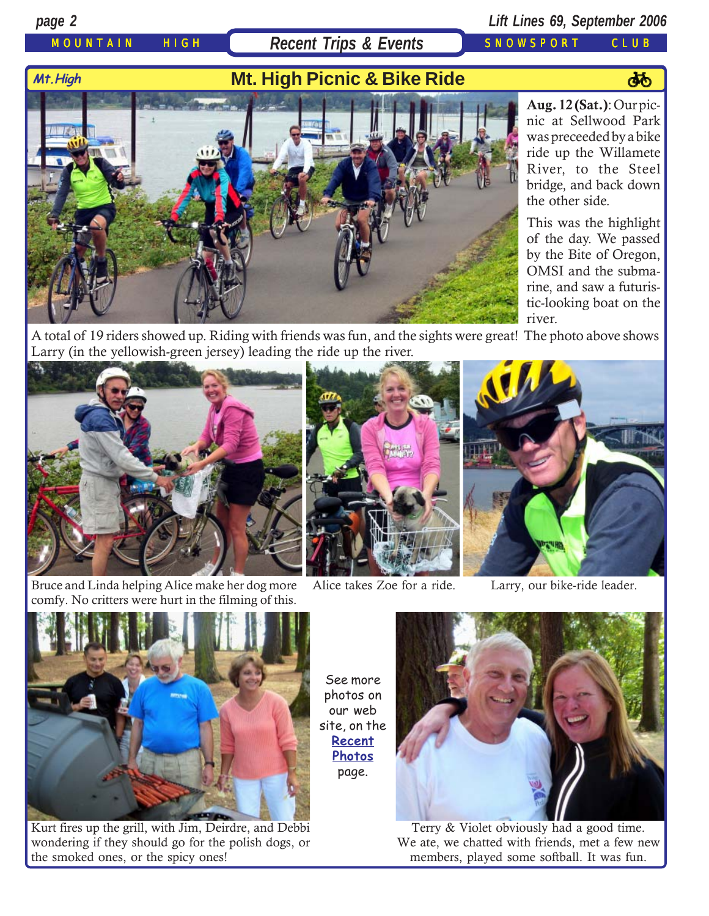## MOUNTAIN HIGH **Recent Trips & Events** SNOWSPORT CLUB

## *page 2 Lift Lines 69, September 2006*

# Mt. High **Mt. High Picnic & Bike Ride**



**Aug. 12 (Sat.)**: Our picnic at Sellwood Park was preceeded by a bike ride up the Willamete River, to the Steel bridge, and back down the other side.

This was the highlight of the day. We passed by the Bite of Oregon, OMSI and the submarine, and saw a futuristic-looking boat on the river.

A total of 19 riders showed up. Riding with friends was fun, and the sights were great! The photo above shows Larry (in the yellowish-green jersey) leading the ride up the river.



Bruce and Linda helping Alice make her dog more comfy. No critters were hurt in the filming of this.





Alice takes Zoe for a ride. Larry, our bike-ride leader.



Kurt fires up the grill, with Jim, Deirdre, and Debbi wondering if they should go for the polish dogs, or the smoked ones, or the spicy ones!

See more photos on our web site, on the **[Recent](http://www.mthigh.org/PhotosRecent.htm) [Photos](http://www.mthigh.org/PhotosRecent.htm)** page.



Terry & Violet obviously had a good time. We ate, we chatted with friends, met a few new members, played some softball. It was fun.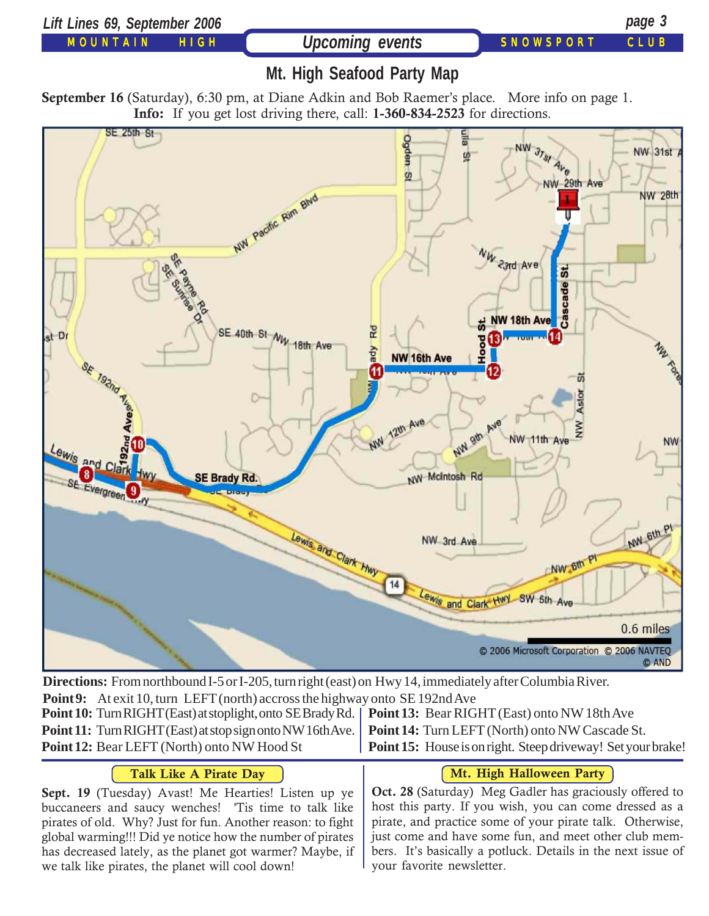



**Directions:** From northbound I-5 or I-205, turn right (east) on Hwy 14, immediately after Columbia River. **Point 9:** At exit 10, turn LEFT (north) accross the highway onto SE 192nd Ave **Point 10:** Turn RIGHT (East) at stoplight, onto SE Brady Rd. **Point 11:** Turn RIGHT (East) at stop sign onto NW 16th Ave. **Point 12:** Bear LEFT (North) onto NW Hood St **Point 13:** Bear RIGHT (East) onto NW 18th Ave **Point 14:** Turn LEFT (North) onto NW Cascade St. **Point 15:** House is on right. Steep driveway! Set your brake!

## **Talk Like A Pirate Day**

**Sept. 19** (Tuesday) Avast! Me Hearties! Listen up ye buccaneers and saucy wenches! 'Tis time to talk like pirates of old. Why? Just for fun. Another reason: to fight global warming!!! Did ye notice how the number of pirates has decreased lately, as the planet got warmer? Maybe, if we talk like pirates, the planet will cool down!

### **Mt. High Halloween Party**

**Oct. 28** (Saturday) Meg Gadler has graciously offered to host this party. If you wish, you can come dressed as a pirate, and practice some of your pirate talk. Otherwise, just come and have some fun, and meet other club members. It's basically a potluck. Details in the next issue of your favorite newsletter.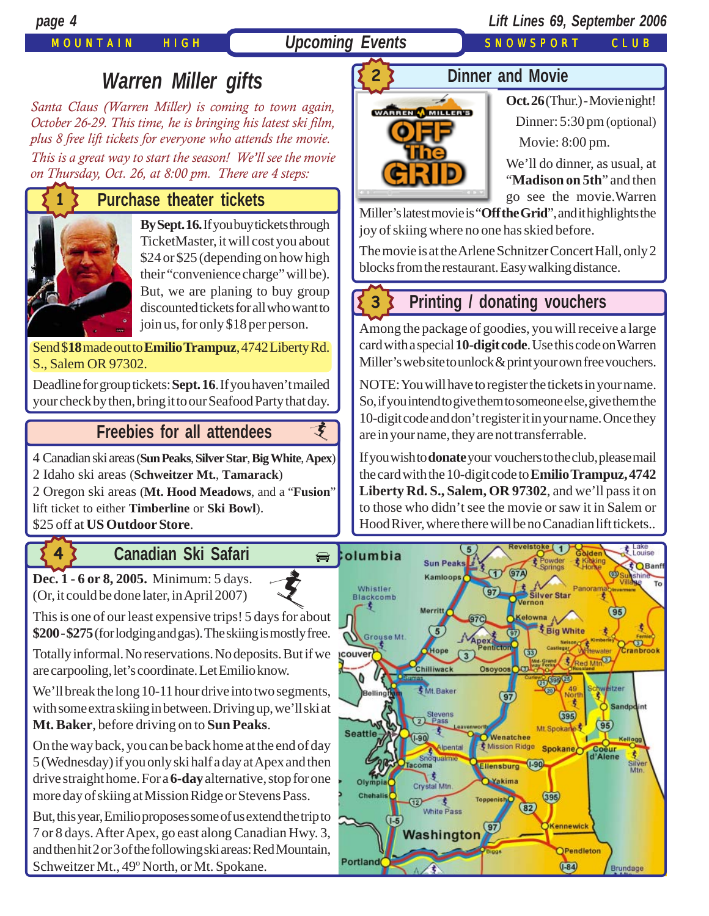## MOUNTAIN HIGH *Upcoming Events* SNOWSPORT CLUB

## *page 4 Lift Lines 69, September 2006*

# *Warren Miller gifts*

*Santa Claus (Warren Miller) is coming to town again, October 26-29. This time, he is bringing his latest ski film, plus 8 free lift tickets for everyone who attends the movie.*

*This is a great way to start the season! We'll see the movie on Thursday, Oct. 26, at 8:00 pm. There are 4 steps:*

## **Purchase theater tickets**



**By Sept. 16.** If you buy tickets through TicketMaster, it will cost you about \$24 or \$25 (depending on how high their "convenience charge" will be). But, we are planing to buy group [discounted tickets for all who want to](http://beavercreek.snow.com/winterhome.asp) join us, for only \$18 per person.

Send \$**18** made out to **Emilio Trampuz**, 4742 Liberty Rd. S., Salem OR 97302.

Deadline for group tickets: **Sept. 16**. If you haven't mailed [your check by then, bring it to our Seafood Party that day.](http://beavercreek.snow.com/winterhome.asp)

## **Freebies [for all attendees](http://beavercreek.snow.com/winterhome.asp)**

4 Canadian ski areas (**Sun Peaks**, **Silver Star**, **Big White**, **Apex**)

2 Idaho ski areas (**Schweitzer Mt.**, **Tamarack**)

2 Oregon ski areas (**Mt. Hood Meadows**, and a "**Fusion**" lift ticket to either **Timberline** or **Ski Bowl**).

\$25 off at **US Outdoor Store**.

**4**

# **Canadian Ski Safari**

**[Dec. 1 - 6 or 8, 2005.](http://beavercreek.snow.com/winterhome.asp)** Minimum: 5 days. (Or, it could be done later, in April 2007)

This is one of our least expensive trips! 5 days for about **\$200 - \$275** (for lodging and gas). The skiing is mostly free. [i](http://beavercreek.snow.com/winterhome.asp)

Totally informal. No reservations. No deposits. But if we power are carpooling, let's coordinate. Let Emilio know.

We'll break the long 10-11 hour drive into two segments, with some extra skiing in between. Driving up, we'll ski at **Mt. Baker**, before driving on to **Sun Peaks**.

On the way back, you can be back home at the end of day 5 (Wednesday) if you only ski half a day at Apex and then drive straight home. For a **6-day** alternative, stop for one more day of skiing at Mission Ridge or Stevens Pass.

But, this year, Emilio proposes some of us extend the trip to 7 or 8 days. After Apex, go east along Canadian Hwy. 3, and then hit 2 or 3 of the following ski areas: Red Mountain, Schweitzer Mt., 49º North, or Mt. Spokane.

## **Dinner and Movie**



**Oct. 26** (Thur.) - Movie night!  [Dinner: 5:30 pm \(optional\)](http://beavercreek.snow.com/winterhome.asp) Movie: 8:00 pm.

We'll do dinner, as usual, at "**Madison on 5th**" and then go see the movie.Warren

Miller's latest movie is "**Off the Grid**", and it highlights the [joy of skiing where no one has skied before.](http://beavercreek.snow.com/winterhome.asp) 

The movie is at the Arlene Schnitzer Concert Hall, only 2 blocks from the restaurant. Easy walking distance.

# **3**

支

## **Printing / donating vouchers**

Among the package of goodies, you will receive a large card with a special **10-digit code**. Use this code on Warren Miller's web site to unlock & print your own free vouchers.

NOTE: You will have to register the tickets in your name. So, if you intend to give them to someone else, give them the 10-digit code and don't register it in your name. Once they are in your name, they are not transferrable.

If you wish to **donate** your vouchers to the club, please mail the card with the 10-digit code to **Emilio Trampuz, 4742 Liberty Rd. S., Salem, OR 97302**, and we'll pass it on to those who didn't see the movie or saw it in Salem or Hood River, where there will be no Canadian lift tickets..

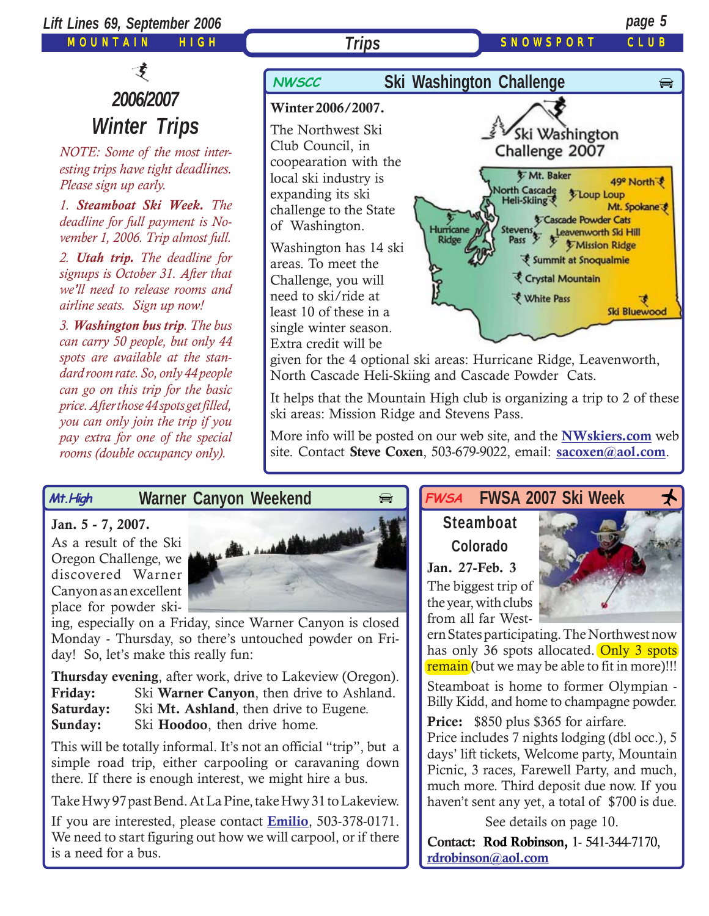

It helps that the Mountain High club is organizing a trip to 2 of these ski areas: Mission Ridge and Stevens Pass.

More info will be posted on our web site, and the **[NWskiers.com](http://www.nwskiers.org/)** web site. Contact **Steve Coxen**, 503-679-9022, email: **[sacoxen@aol.com](mailto:sacoxen@aol.com)**.

### **Warner Canyon Weekend Mt.High**

### **Jan. 5 - 7, 2007.**

As a result of the Ski Oregon Challenge, we discovered Warner Canyon as an excellent place for powder ski-

*price. After those 44 spots get filled, you can only join the trip if you pay extra for one of the special rooms (double occupancy only).*



ing, especially on a Friday, since Warner Canyon is closed Monday - Thursday, so there's untouched powder on Friday! So, let's make this really fun:

|           | <b>Thursday evening, after work, drive to Lakeview (Oregon).</b> |
|-----------|------------------------------------------------------------------|
| Friday:   | Ski Warner Canyon, then drive to Ashland.                        |
| Saturday: | Ski Mt. Ashland, then drive to Eugene.                           |
| Sunday:   | Ski Hoodoo, then drive home.                                     |

This will be totally informal. It's not an official "trip", but a simple road trip, either carpooling or caravaning down there. If there is enough interest, we might hire a bus.

Take Hwy 97 past Bend. At La Pine, take Hwy 31 to Lakeview.

If you are interested, please contact **[Emilio](mailto:Emilio2000@earthlink.net)**, 503-378-0171. We need to start figuring out how we will carpool, or if there is a need for a bus.

### $\epsilon$  **FWSA** FWSA 2007 Ski Week  $\star$ **FWSA**

# **Steamboat Colorado**

**Jan. 27-Feb. 3** The biggest trip of the year, with clubs from all far West-

ern States participating. The Northwest now has only 36 spots allocated. Only 3 spots remain (but we may be able to fit in more)!!!

Steamboat is home to former Olympian - Billy Kidd, and home to champagne powder.

**Price:** \$850 plus \$365 for airfare.

Price includes 7 nights lodging (dbl occ.), 5 days' lift tickets, Welcome party, Mountain Picnic, 3 races, Farewell Party, and much, much more. Third deposit due now. If you haven't sent any yet, a total of \$700 is due.

See details on page 10.

**Contact: Rod Robinson,** 1- 541-344-7170, **[rdrobinson@aol.com](mailto:rdrobinson@aol.com)**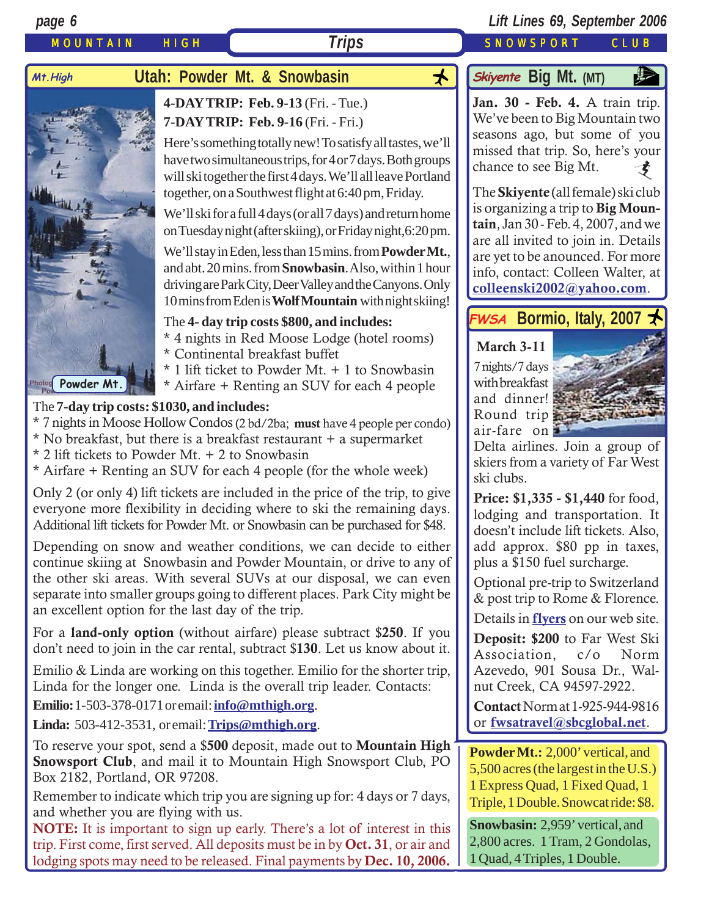

separate into smaller groups going to different places. Park City might be an excellent option for the last day of the trip.

For a **land-only option** (without airfare) please subtract \$**250**. If you don't need to join in the car rental, subtract \$**130**. Let us know about it.

Emilio & Linda are working on this together. Emilio for the shorter trip, Linda for the longer one. Linda is the overall trip leader. Contacts:

**Emilio:**1-503-378-0171 or email: **[info@mthigh.org](mailto:info@mthigh.org)**.

**Linda:** 503-412-3531, or email: **[Trips@mthigh.org](mailto:Trips@mthigh.org)**.

To reserve your spot, send a \$**500** deposit, made out to **Mountain High Snowsport Club**, and mail it to Mountain High Snowsport Club, PO Box 2182, Portland, OR 97208.

Remember to indicate which trip you are signing up for: 4 days or 7 days, and whether you are flying with us.

**NOTE:** It is important to sign up early. There's a lot of interest in this trip. First come, first served. All deposits must be in by **Oct. 31**, or air and lodging spots may need to be released. Final payments by **Dec. 10, 2006.**

& post trip to Rome & Florence.

Details in **[flyers](http://www.mthigh.org/Trips.htm#Bormio)** on our web site.

**Deposit: \$200** to Far West Ski Association, c/o Norm Azevedo, 901 Sousa Dr., Walnut Creek, CA 94597-2922.

**Contact** Norm at 1-925-944-9816 or **[fwsatravel@sbcglobal.net](mailto:fwsatravel@sbcglobal.net)**.

**Powder Mt.:** 2,000' vertical, and 5,500 acres (the largest in the U.S.) 1 Express Quad, 1 Fixed Quad, 1 Triple, 1 Double. Snowcat ride: \$8.

**Snowbasin:** 2,959' vertical, and 2,800 acres. 1 Tram, 2 Gondolas, 1 Quad, 4 Triples, 1 Double.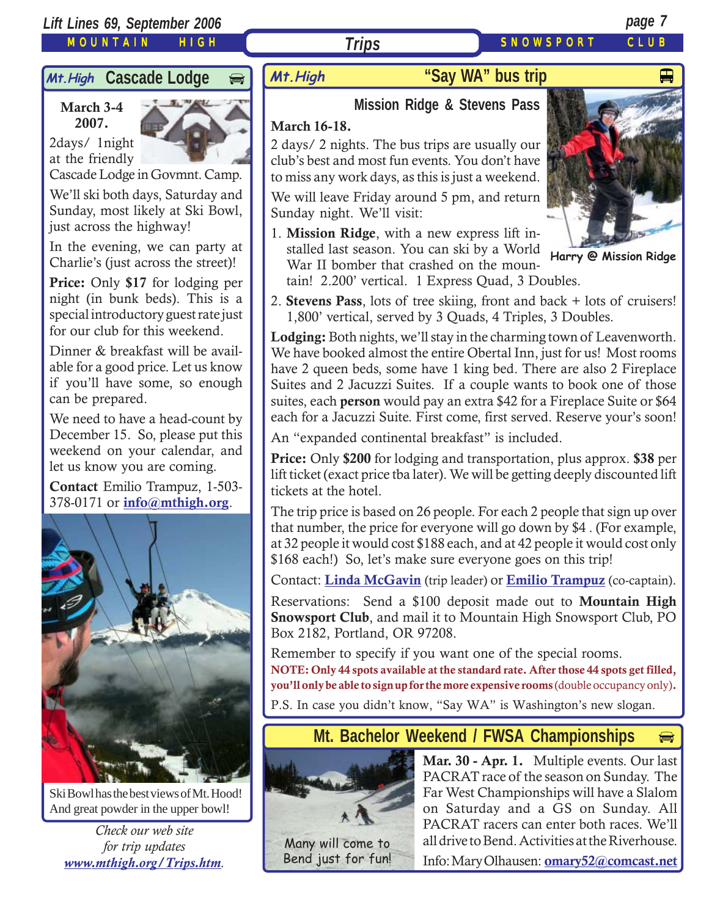MOUNTAIN HIGH

# Mt. High **Cascade Lodge**

## **March 3-4 2007.**

2days/ 1night at the friendly



Cascade Lodge in Govmnt. Camp.

We'll ski both days, Saturday and Sunday, most likely at Ski Bowl, just across the highway!

In the evening, we can party at Charlie's (just across the street)!

**Price:** Only **\$17** for lodging per night (in bunk beds). This is a special introductory guest rate just for our club for this weekend.

Dinner & breakfast will be available for a good price. Let us know if you'll have some, so enough can be prepared.

We need to have a head-count by December 15. So, please put this weekend on your calendar, and let us know you are coming.

**Contact** Emilio Trampuz, 1-503- 378-0171 or **[info@mthigh.org](mailto:info@mthigh.org)**.



Ski Bowl has the best views of Mt. Hood! And great powder in the upper bowl!

*Check our web site for trip updates [www.mthigh.org/Trips.htm](http://www.mthigh.org/Trips.htm).*

# **"Say WA" bus trip** And Alleman Wand Alleman Alleman Alleman Alleman Alleman Alleman Alleman Alleman Alleman Al

## **Mission Ridge & Stevens Pass**

## **March 16-18.**

2 days/ 2 nights. The bus trips are usually our club's best and most fun events. You don't have to miss any work days, as this is just a weekend.

*Trips*

We will leave Friday around 5 pm, and return Sunday night. We'll visit:

1. **Mission Ridge**, with a new express lift installed last season. You can ski by a World War II bomber that crashed on the mountain! 2.200' vertical. 1 Express Quad, 3 Doubles.



**Harry @ Mission Ridge**

2. **Stevens Pass**, lots of tree skiing, front and back + lots of cruisers! 1,800' vertical, served by 3 Quads, 4 Triples, 3 Doubles.

**Lodging:** Both nights, we'll stay in the charming town of Leavenworth. We have booked almost the entire Obertal Inn, just for us! Most rooms have 2 queen beds, some have 1 king bed. There are also 2 Fireplace Suites and 2 Jacuzzi Suites. If a couple wants to book one of those suites, each **person** would pay an extra \$42 for a Fireplace Suite or \$64 each for a Jacuzzi Suite. First come, first served. Reserve your's soon!

An "expanded continental breakfast" is included.

**Price:** Only **\$200** for lodging and transportation, plus approx. **\$38** per lift ticket (exact price tba later). We will be getting deeply discounted lift tickets at the hotel.

The trip price is based on 26 people. For each 2 people that sign up over that number, the price for everyone will go down by \$4 . (For example, at 32 people it would cost \$188 each, and at 42 people it would cost only \$168 each!) So, let's make sure everyone goes on this trip!

Contact: **[Linda McGavin](mailto:Trips@mthigh.org)** (trip leader) or **[Emilio Trampuz](mailto:info@mthigh.org)** (co-captain).

Reservations: Send a \$100 deposit made out to **Mountain High Snowsport Club**, and mail it to Mountain High Snowsport Club, PO Box 2182, Portland, OR 97208.

Remember to specify if you want one of the special rooms. **NOTE: Only 44 spots available at the standard rate. After those 44 spots get filled, you'll only be able to sign up for the more expensive rooms** (double occupancy only)**.**

P.S. In case you didn't know, "Say WA" is Washington's new slogan.

## **Mt. Bachelor Weekend / FWSA Championships**



**Mar. 30 - Apr. 1.** Multiple events. Our last PACRAT race of the season on Sunday. The Far West Championships will have a Slalom on Saturday and a GS on Sunday. All PACRAT racers can enter both races. We'll all drive to Bend. Activities at the Riverhouse.

▄

Many will come to Bend just for fun!

Info: Mary Olhausen: **[omary52@comcast.net](mailto:omary52@comcast.net)**

SNOWSPORT CLUB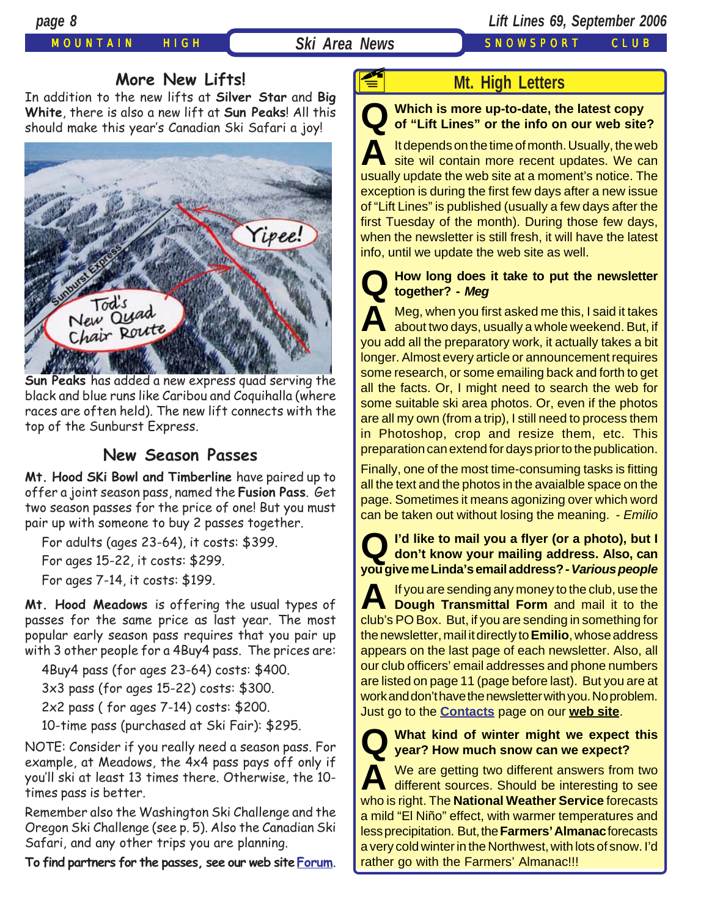## MOUNTAIN HIGH **Ski Area News** SNOWSPORT CLUB

## **More New Lifts!**

In addition to the new lifts at **Silver Star** and **Big White**, there is also a new lift at **Sun Peaks**! All this should make this year's Canadian Ski Safari a joy!



**Sun Peaks** has added a new express quad serving the black and blue runs like Caribou and Coquihalla (where races are often held). The new lift connects with the top of the Sunburst Express.

## **New Season Passes**

**Mt. Hood SKi Bowl and Timberline** have paired up to offer a joint season pass, named the **Fusion Pass**. Get two season passes for the price of one! But you must pair up with someone to buy 2 passes together.

For adults (ages 23-64), it costs: \$399.

For ages 15-22, it costs: \$299.

For ages 7-14, it costs: \$199.

**Mt. Hood Meadows** is offering the usual types of passes for the same price as last year. The most popular early season pass requires that you pair up with 3 other people for a 4Buy4 pass. The prices are:

4Buy4 pass (for ages 23-64) costs: \$400.

3x3 pass (for ages 15-22) costs: \$300.

2x2 pass ( for ages 7-14) costs: \$200.

10-time pass (purchased at Ski Fair): \$295.

NOTE: Consider if you really need a season pass. For example, at Meadows, the 4x4 pass pays off only if you'll ski at least 13 times there. Otherwise, the 10 times pass is better.

Remember also the Washington Ski Challenge and the Oregon Ski Challenge (see p. 5). Also the Canadian Ski Safari, and any other trips you are planning.

**To find partners for the passes, see our web site[Forum](http://s104306927.onlinehome.us/tinc?key=ZNQJOQu3&start=-1&reverse=1)**.

**F** 

## **Mt. High Letters**

**Q Which is more up-to-date, the latest copy of "Lift Lines" or the info on our web site?**

**A** It depends on the time of month. Usually, the web site wil contain more recent updates. We can usually update the web site at a moment's notice. The exception is during the first few days after a new issue of "Lift Lines" is published (usually a few days after the first Tuesday of the month). During those few days, when the newsletter is still fresh, it will have the latest info, until we update the web site as well.

## **Q How long does it take to put the newsletter together? -** *Meg*

A Meg, when you first asked me this, I said it takes<br>about two days, usually a whole weekend. But, if you add all the preparatory work, it actually takes a bit longer. Almost every article or announcement requires some research, or some emailing back and forth to get all the facts. Or, I might need to search the web for some suitable ski area photos. Or, even if the photos are all my own (from a trip), I still need to process them in Photoshop, crop and resize them, etc. This preparation can extend for days prior to the publication.

Finally, one of the most time-consuming tasks is fitting all the text and the photos in the avaialble space on the page. Sometimes it means agonizing over which word can be taken out without losing the meaning. - *Emilio*

**Q I'd like to mail you a flyer (or a photo), but I don't know your mailing address. Also, can you give me Linda's email address? -** *Various people*

**A** If you are sending any money to the club, use the **Dough Transmittal Form** and mail it to the club's PO Box. But, if you are sending in something for the newsletter, mail it directly to **Emilio**, whose address appears on the last page of each newsletter. Also, all our club officers' email addresses and phone numbers are listed on page 11 (page before last). But you are at work and don't have the newsletter with you. No problem. Just go to the **[Contacts](http://www.mthigh.org/Contacts.htm)** page on our **[web site](http://www.mthigh.org/)**.

**Q What kind of winter might we expect this year? How much snow can we expect?**

We are getting two different answers from two different sources. Should be interesting to see who is right. The **National Weather Service** forecasts a mild "El Niño" effect, with warmer temperatures and less precipitation. But, the **Farmers' Almanac** forecasts a very cold winter in the Northwest, with lots of snow. I'd rather go with the Farmers' Almanac!!!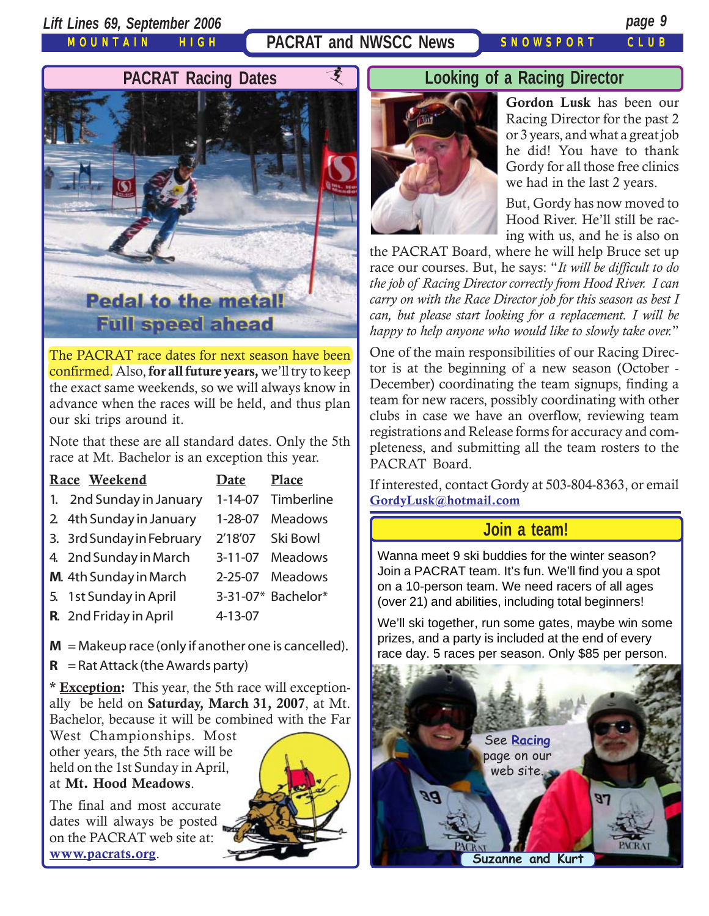*Lift Lines 69, September 2006 page 9*

MOUNTAIN HIGH

**PACRAT and NWSCC News SNOWSPORT CLUB** 



The PACRAT race dates for next season have been confirmed. Also, **for all future years,** we'll try to keep the exact same weekends, so we will always know in advance when the races will be held, and thus plan our ski trips around it.

Note that these are all standard dates. Only the 5th race at Mt. Bachelor is an exception this year.

| Race Weekend              | Date          | <b>Place</b>       |
|---------------------------|---------------|--------------------|
| 1. 2nd Sunday in January  | $1 - 14 - 07$ | Timberline         |
| 2 4th Sunday in January   | $1 - 28 - 07$ | <b>Meadows</b>     |
| 3. 3rd Sunday in February | 2'18'07       | Ski Bowl           |
| 4. 2nd Sunday in March    | $3 - 11 - 07$ | Meadows            |
| M. 4th Sunday in March    | $2 - 25 - 07$ | Meadows            |
| 5. 1st Sunday in April    |               | 3-31-07* Bachelor* |
| R. 2nd Friday in April    | 4-13-07       |                    |
|                           |               |                    |

 $M = M$ akeup race (only if another one is cancelled).

 $R =$ Rat Attack (the Awards party)

**\* Exception:** This year, the 5th race will exceptionally be held on **Saturday, March 31, 2007**, at Mt. Bachelor, because it will be combined with the Far

West Championships. Most other years, the 5th race will be held on the 1st Sunday in April, at **Mt. Hood Meadows**.

The final and most accurate dates will always be posted on the PACRAT web site at: **[www.pacrats.org](http://www.pacrats.org/)**.



## **Looking of a Racing Director**



**Gordon Lusk** has been our Racing Director for the past 2 or 3 years, and what a great job he did! You have to thank Gordy for all those free clinics we had in the last 2 years.

But, Gordy has now moved to Hood River. He'll still be racing with us, and he is also on

the PACRAT Board, where he will help Bruce set up race our courses. But, he says: "*It will be difficult to do the job of Racing Director correctly from Hood River. I can carry on with the Race Director job for this season as best I can, but please start looking for a replacement. I will be happy to help anyone who would like to slowly take over.*"

One of the main responsibilities of our Racing Director is at the beginning of a new season (October - December) coordinating the team signups, finding a team for new racers, possibly coordinating with other clubs in case we have an overflow, reviewing team registrations and Release forms for accuracy and completeness, and submitting all the team rosters to the PACRAT Board.

If interested, contact Gordy at 503-804-8363, or email **[GordyLusk@hotmail.com](mailto:gordylusk@hotmail.com)**

## **Join a team!**

Wanna meet 9 ski buddies for the winter season? Join a PACRAT team. It's fun. We'll find you a spot on a 10-person team. We need racers of all ages (over 21) and abilities, including total beginners!

We'll ski together, run some gates, maybe win some prizes, and a party is included at the end of every race day. 5 races per season. Only \$85 per person.

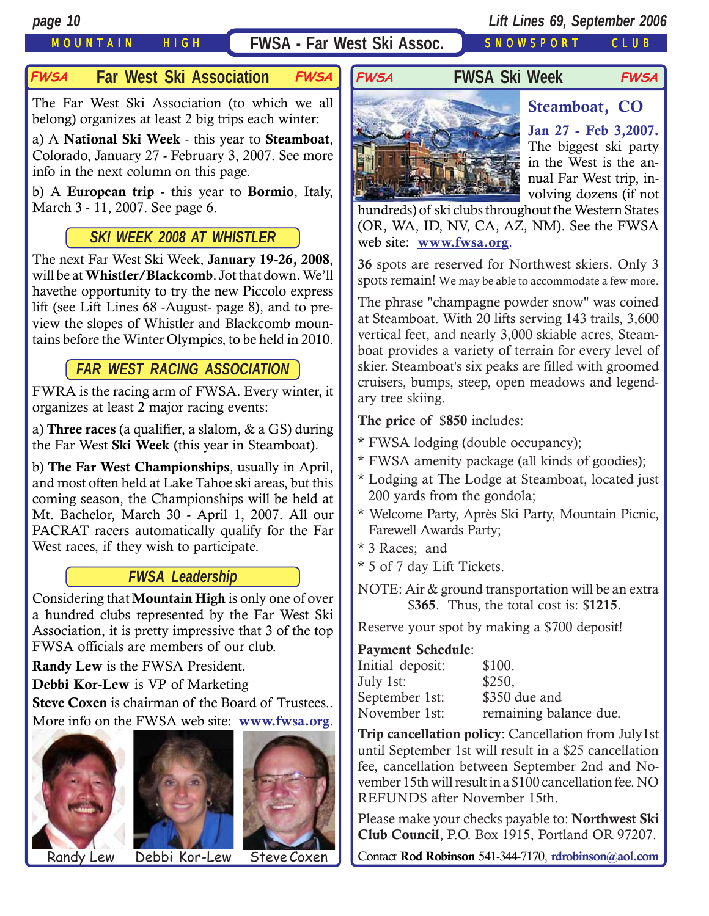## MOUNTAIN HIGH **FWSA - Far West Ski Assoc.** SNOWSPORT CLUB

## **Far West Ski Association FWSA FWSA FWSA Ski Week**

The Far West Ski Association (to which we all belong) organizes at least 2 big trips each winter:

a) A **National Ski Week** - this year to **Steamboat**, Colorado, January 27 - February 3, 2007. See more info in the next column on this page.

b) A **European trip** - this year to **Bormio**, Italy, March 3 - 11, 2007. See page 6.

## *SKI WEEK 2008 AT WHISTLER*

The next Far West Ski Week, **January 19-26, 2008**, will be at **Whistler/Blackcomb**. Jot that down. We'll havethe opportunity to try the new Piccolo express lift (see Lift Lines 68 -August- page 8), and to preview the slopes of Whistler and Blackcomb mountains before the Winter Olympics, to be held in 2010.

## *FAR WEST RACING ASSOCIATION*

FWRA is the racing arm of FWSA. Every winter, it organizes at least 2 major racing events:

a) **Three races** (a qualifier, a slalom, & a GS) during the Far West **Ski Week** (this year in Steamboat).

b) **The Far West Championships**, usually in April, and most often held at Lake Tahoe ski areas, but this coming season, the Championships will be held at Mt. Bachelor, March 30 - April 1, 2007. All our PACRAT racers automatically qualify for the Far West races, if they wish to participate.

## *FWSA Leadership*

Considering that **Mountain High** is only one of over a hundred clubs represented by the Far West Ski Association, it is pretty impressive that 3 of the top FWSA officials are members of our club.

**Randy Lew** is the FWSA President.

**Debbi Kor-Lew** is VP of Marketing

**Steve Coxen** is chairman of the Board of Trustees.. More info on the FWSA web site: **[www.fwsa.org](http://www.fwsa.org/)**.







Randy Lew Debbi Kor-Lew Steve Coxen

## **FWSA FWSA**



**Jan 27 - Feb 3,2007.** The biggest ski party in the West is the annual Far West trip, involving dozens (if not

**Steamboat, CO**

hundreds) of ski clubs throughout the Western States (OR, WA, ID, NV, CA, AZ, NM). See the FWSA web site: **[www.fwsa.org](http://www.fwsa.org/)**.

**36** spots are reserved for Northwest skiers. Only 3 spots remain! We may be able to accommodate a few more.

The phrase "champagne powder snow" was coined at Steamboat. With 20 lifts serving 143 trails, 3,600 vertical feet, and nearly 3,000 skiable acres, Steamboat provides a variety of terrain for every level of skier. Steamboat's six peaks are filled with groomed cruisers, bumps, steep, open meadows and legendary tree skiing.

**The price** of \$**850** includes:

- \* FWSA lodging (double occupancy);
- \* FWSA amenity package (all kinds of goodies);
- \* Lodging at The Lodge at Steamboat, located just 200 yards from the gondola;
- \* Welcome Party, Après Ski Party, Mountain Picnic, Farewell Awards Party;
- \* 3 Races; and
- \* 5 of 7 day Lift Tickets.
- NOTE: Air & ground transportation will be an extra \$**365**. Thus, the total cost is: \$**1215**.

Reserve your spot by making a \$700 deposit!

### **Payment Schedule**:

| Initial deposit: | \$100.                 |
|------------------|------------------------|
| July 1st:        | \$250,                 |
| September 1st:   | \$350 due and          |
| November 1st:    | remaining balance due. |

**Trip cancellation policy**: Cancellation from July1st until September 1st will result in a \$25 cancellation fee, cancellation between September 2nd and November 15th will result in a \$100 cancellation fee. NO REFUNDS after November 15th.

Please make your checks payable to: **Northwest Ski Club Council**, P.O. Box 1915, Portland OR 97207.

Contact **Rod Robinson** 541-344-7170, **[rdrobinson@aol.com](mailto:rdrobinson@aol.com)**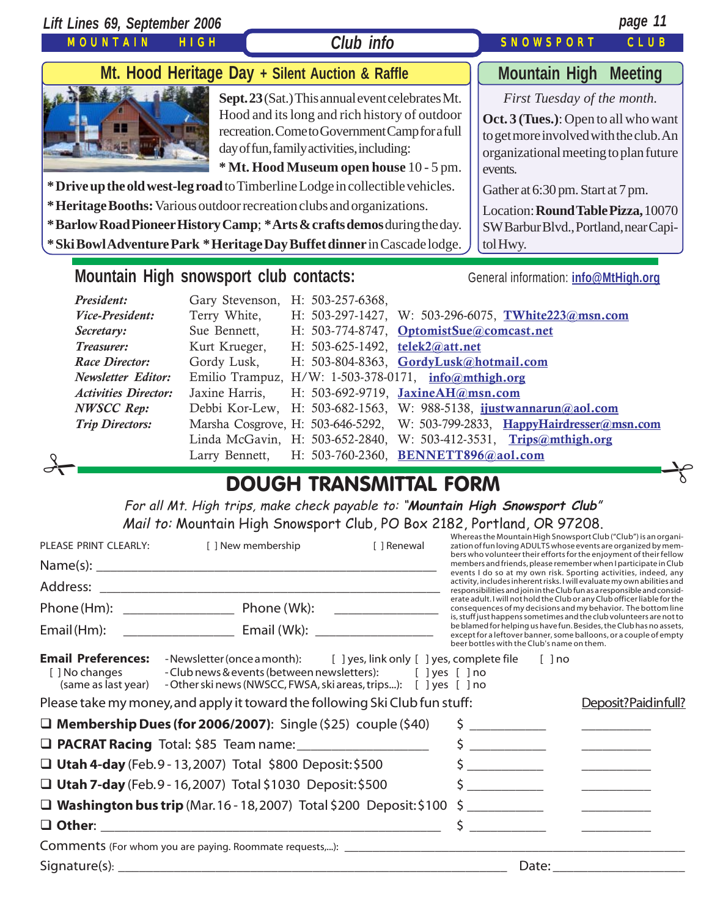| Lift Lines 69, September 2006<br>MOUNTAIN                                                                                                                                                                                                                                                                                                                                                                                                                                                                                                                                                                                                                                                                                                                                                                                                                                                                                                                                                                                                          | <b>HIGH</b>                                                                                   | Club info                                                                                                                                                                                                                                   |             | SNOWSPORT                                                                                                                                                                                                                                                                                                                                                                                                                                                                                                                                                                                                                                                                                                                                                                                                                                                          | page 11<br>CLUB                                                                                                                                                                                                                               |
|----------------------------------------------------------------------------------------------------------------------------------------------------------------------------------------------------------------------------------------------------------------------------------------------------------------------------------------------------------------------------------------------------------------------------------------------------------------------------------------------------------------------------------------------------------------------------------------------------------------------------------------------------------------------------------------------------------------------------------------------------------------------------------------------------------------------------------------------------------------------------------------------------------------------------------------------------------------------------------------------------------------------------------------------------|-----------------------------------------------------------------------------------------------|---------------------------------------------------------------------------------------------------------------------------------------------------------------------------------------------------------------------------------------------|-------------|--------------------------------------------------------------------------------------------------------------------------------------------------------------------------------------------------------------------------------------------------------------------------------------------------------------------------------------------------------------------------------------------------------------------------------------------------------------------------------------------------------------------------------------------------------------------------------------------------------------------------------------------------------------------------------------------------------------------------------------------------------------------------------------------------------------------------------------------------------------------|-----------------------------------------------------------------------------------------------------------------------------------------------------------------------------------------------------------------------------------------------|
|                                                                                                                                                                                                                                                                                                                                                                                                                                                                                                                                                                                                                                                                                                                                                                                                                                                                                                                                                                                                                                                    | Mt. Hood Heritage Day + Silent Auction & Raffle                                               |                                                                                                                                                                                                                                             |             |                                                                                                                                                                                                                                                                                                                                                                                                                                                                                                                                                                                                                                                                                                                                                                                                                                                                    | <b>Mountain High Meeting</b>                                                                                                                                                                                                                  |
| * Drive up the old west-leg road to Timberline Lodge in collectible vehicles.<br>* Heritage Booths: Various outdoor recreation clubs and organizations.<br>*Barlow Road Pioneer History Camp; *Arts & crafts demos during the day.<br>* Ski Bowl Adventure Park * Heritage Day Buffet dinner in Cascade lodge.                                                                                                                                                                                                                                                                                                                                                                                                                                                                                                                                                                                                                                                                                                                                     |                                                                                               | Sept. 23 (Sat.) This annual event celebrates Mt.<br>Hood and its long and rich history of outdoor<br>recreation. Come to Government Camp for a full<br>day of fun, family activities, including:<br>* Mt. Hood Museum open house 10 - 5 pm. |             | events.<br>Gather at 6:30 pm. Start at 7 pm.<br>tolHwy.                                                                                                                                                                                                                                                                                                                                                                                                                                                                                                                                                                                                                                                                                                                                                                                                            | First Tuesday of the month.<br><b>Oct. 3 (Tues.)</b> : Open to all who want<br>to get more involved with the club. An<br>organizational meeting to plan future<br>Location: Round Table Pizza, 10070<br>SW Barbur Blvd., Portland, near Capi- |
|                                                                                                                                                                                                                                                                                                                                                                                                                                                                                                                                                                                                                                                                                                                                                                                                                                                                                                                                                                                                                                                    |                                                                                               |                                                                                                                                                                                                                                             |             | General information: info@MtHigh.org                                                                                                                                                                                                                                                                                                                                                                                                                                                                                                                                                                                                                                                                                                                                                                                                                               |                                                                                                                                                                                                                                               |
| Mountain High snowsport club contacts:<br>President:<br>Gary Stevenson, H: 503-257-6368,<br>Vice-President:<br>Terry White,<br>H: 503-297-1427, W: 503-296-6075, TWhite223@msn.com<br>Sue Bennett,<br>H: 503-774-8747, OptomistSue@comcast.net<br>Secretary:<br>Treasurer:<br>Kurt Krueger,<br>H: 503-625-1492, telek2@att.net<br>H: 503-804-8363, GordyLusk@hotmail.com<br><b>Race Director:</b><br>Gordy Lusk,<br>Emilio Trampuz, H/W: 1-503-378-0171, info@mthigh.org<br><b>Newsletter Editor:</b><br>Jaxine Harris,<br>H: 503-692-9719, JaxineAH@msn.com<br><b>Activities Director:</b><br><b>NWSCC</b> Rep:<br>Debbi Kor-Lew,<br>H: 503-682-1563, W: 988-5138, ijustwannarun@aol.com<br>Marsha Cosgrove, H: 503-646-5292, W: 503-799-2833, HappyHairdresser@msn.com<br><b>Trip Directors:</b><br>Linda McGavin, H: 503-652-2840, W: 503-412-3531, Trips@mthigh.org<br>Larry Bennett,<br>H: 503-760-2360, BENNETT896@aol.com<br><b>DOUGH TRANSMITTAL FORM</b><br>For all Mt. High trips, make check payable to: "Mountain High Snowsport Club" |                                                                                               |                                                                                                                                                                                                                                             |             |                                                                                                                                                                                                                                                                                                                                                                                                                                                                                                                                                                                                                                                                                                                                                                                                                                                                    |                                                                                                                                                                                                                                               |
| PLEASE PRINT CLEARLY:<br>Email (Hm):                                                                                                                                                                                                                                                                                                                                                                                                                                                                                                                                                                                                                                                                                                                                                                                                                                                                                                                                                                                                               | Mail to: Mountain High Snowsport Club, PO Box 2182, Portland, OR 97208.<br>[ ] New membership |                                                                                                                                                                                                                                             | [ ] Renewal | Whereas the Mountain High Snowsport Club ("Club") is an organi-<br>zation of fun loving ADULTS whose events are organized by mem-<br>bers who volunteer their efforts for the enjoyment of their fellow<br>members and friends, please remember when I participate in Club<br>events I do so at my own risk. Sporting activities, indeed, any<br>activity, includes inherent risks. I will evaluate my own abilities and<br>responsibilities and join in the Club fun as a responsible and consid-<br>erate adult. I will not hold the Club or any Club officer liable for the<br>consequences of my decisions and my behavior. The bottom line<br>is, stuff just happens sometimes and the club volunteers are not to<br>be blamed for helping us have fun. Besides, the Club has no assets,<br>except for a leftover banner, some balloons, or a couple of empty |                                                                                                                                                                                                                                               |
| <b>Email Preferences:</b> -Newsletter (once a month): [ ] yes, link only [ ] yes, complete file<br>[ ] No changes<br>(same as last year) - Other ski news (NWSCC, FWSA, ski areas, trips): [ ] yes [ ] no<br>Please take my money, and apply it toward the following Ski Club fun stuff:                                                                                                                                                                                                                                                                                                                                                                                                                                                                                                                                                                                                                                                                                                                                                           | - Club news & events (between newsletters): [ ] yes [ ] no                                    |                                                                                                                                                                                                                                             |             | beer bottles with the Club's name on them.<br>[ ] no                                                                                                                                                                                                                                                                                                                                                                                                                                                                                                                                                                                                                                                                                                                                                                                                               |                                                                                                                                                                                                                                               |
|                                                                                                                                                                                                                                                                                                                                                                                                                                                                                                                                                                                                                                                                                                                                                                                                                                                                                                                                                                                                                                                    |                                                                                               |                                                                                                                                                                                                                                             |             |                                                                                                                                                                                                                                                                                                                                                                                                                                                                                                                                                                                                                                                                                                                                                                                                                                                                    | Deposit?Paidinfull?                                                                                                                                                                                                                           |

**Utah 4-day** (Feb. 9 - 13, 2007) Total \$800 Deposit: \$500 \$ \_\_\_\_\_\_\_\_\_\_\_ \_\_\_\_\_\_\_\_\_\_

**Utah 7-day** (Feb. 9 - 16, 2007) Total \$1030 Deposit: \$500 \$ \_\_\_\_\_\_\_\_\_\_\_ \_\_\_\_\_\_\_\_\_\_

 **Washington bus trip** (Mar. 16 - 18, 2007) Total \$200 Deposit: \$100 \$ \_\_\_\_\_\_\_\_\_\_\_ \_\_\_\_\_\_\_\_\_\_ **Other**: \_\_\_\_\_\_\_\_\_\_\_\_\_\_\_\_\_\_\_\_\_\_\_\_\_\_\_\_\_\_\_\_\_\_\_\_\_\_\_\_\_\_\_\_\_\_\_\_\_ \$ \_\_\_\_\_\_\_\_\_\_\_ \_\_\_\_\_\_\_\_\_\_

Comments (For whom you are paying. Roommate requests,...): \_\_\_\_\_\_\_\_\_\_\_\_\_\_\_\_\_\_\_\_\_\_ Signature(s): \_\_\_\_\_\_\_\_\_\_\_\_\_\_\_\_\_\_\_\_\_\_\_\_\_\_\_\_\_\_\_\_\_\_\_\_\_\_\_\_\_\_\_\_\_\_\_\_\_\_\_\_\_\_\_\_ Date: \_\_\_\_\_\_\_\_\_\_\_\_\_\_\_\_\_\_\_